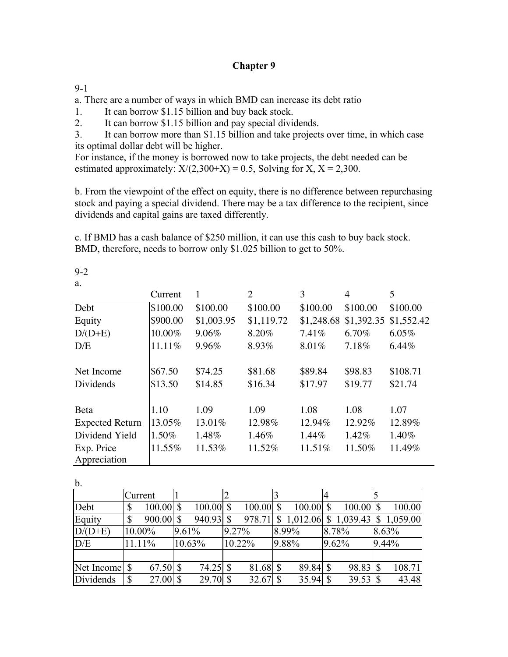## **Chapter 9**

9-1

a. There are a number of ways in which BMD can increase its debt ratio

1. It can borrow \$1.15 billion and buy back stock.

2. It can borrow \$1.15 billion and pay special dividends.

3. It can borrow more than \$1.15 billion and take projects over time, in which case its optimal dollar debt will be higher.

For instance, if the money is borrowed now to take projects, the debt needed can be estimated approximately:  $X/(2,300+X) = 0.5$ , Solving for X,  $X = 2,300$ .

b. From the viewpoint of the effect on equity, there is no difference between repurchasing stock and paying a special dividend. There may be a tax difference to the recipient, since dividends and capital gains are taxed differently.

c. If BMD has a cash balance of \$250 million, it can use this cash to buy back stock. BMD, therefore, needs to borrow only \$1.025 billion to get to 50%.

9-2

a.

|                        | Current  |            | $\overline{2}$ | 3          | 4          | 5          |
|------------------------|----------|------------|----------------|------------|------------|------------|
| Debt                   | \$100.00 | \$100.00   | \$100.00       | \$100.00   | \$100.00   | \$100.00   |
| Equity                 | \$900.00 | \$1,003.95 | \$1,119.72     | \$1,248.68 | \$1,392.35 | \$1,552.42 |
| $D/(D+E)$              | 10.00%   | 9.06%      | 8.20%          | 7.41%      | $6.70\%$   | 6.05%      |
| D/E                    | 11.11%   | 9.96%      | 8.93%          | 8.01%      | 7.18%      | 6.44%      |
|                        |          |            |                |            |            |            |
| Net Income             | \$67.50  | \$74.25    | \$81.68        | \$89.84    | \$98.83    | \$108.71   |
| Dividends              | \$13.50  | \$14.85    | \$16.34        | \$17.97    | \$19.77    | \$21.74    |
|                        |          |            |                |            |            |            |
| Beta                   | 1.10     | 1.09       | 1.09           | 1.08       | 1.08       | 1.07       |
| <b>Expected Return</b> | 13.05%   | 13.01%     | 12.98%         | 12.94%     | 12.92%     | 12.89%     |
| Dividend Yield         | 1.50%    | 1.48%      | 1.46%          | $1.44\%$   | 1.42%      | 1.40%      |
| Exp. Price             | 11.55%   | 11.53%     | 11.52%         | 11.51%     | 11.50%     | 11.49%     |
| Appreciation           |          |            |                |            |            |            |

b.

| . v.          |         |             |             |              |             |                       |              |             |                        |
|---------------|---------|-------------|-------------|--------------|-------------|-----------------------|--------------|-------------|------------------------|
|               | Current |             |             |              |             |                       |              |             |                        |
| Debt          |         | $100.00$ \$ | $100.00$ \$ |              | $100.00$ \$ | $100.00$ \$           |              | $100.00$ \$ | 100.00                 |
| Equity        |         | 900.00      | 940.93      | <sup>S</sup> |             | 978.71 \, \$ 1,012.06 | $\mathbb{S}$ |             | $1,039.43$ \$ 1,059.00 |
| $D/(D+E)$     | 10.00%  |             | 9.61%       |              | 9.27%       | 8.99%                 |              | 8.78%       | 8.63%                  |
| D/E           | 11.11%  |             | 10.63%      |              | 10.22%      | 9.88%                 |              | 9.62%       | $9.44\%$               |
|               |         |             |             |              |             |                       |              |             |                        |
| Net Income \$ |         | 67.50 \$    |             |              | 81.68 \$    | 89.84 \$              |              | 98.83 \$    | 108.71                 |
| Dividends     | \$      | $27.00\$    | $29.70$ \$  |              | $32.67$ \$  | $35.94$ \$            |              | $39.53$ \$  | 43.48                  |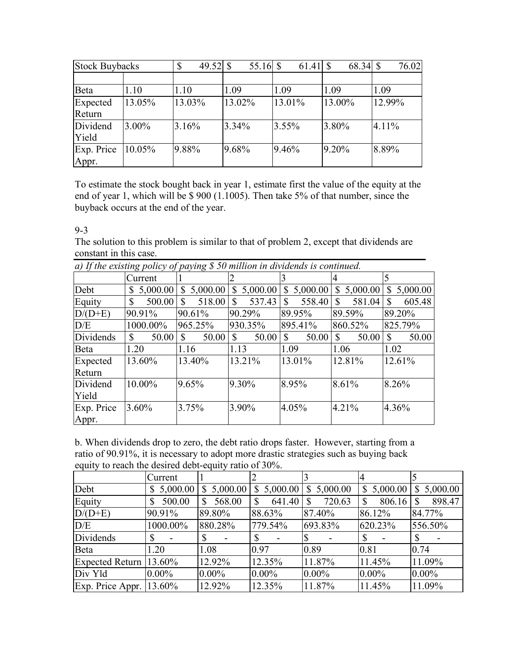| <b>Stock Buybacks</b> |        | $\mathbb{S}$ | 49.52 $\vert$ \$ |          | 55.16 $\vert$ \$ |          |        | 68.34 \$ |        | 76.02 |
|-----------------------|--------|--------------|------------------|----------|------------------|----------|--------|----------|--------|-------|
|                       |        |              |                  |          |                  |          |        |          |        |       |
| Beta                  | 1.10   | 1.10         |                  | 1.09     |                  | 1.09     | 1.09   |          | 1.09   |       |
| Expected              | 13.05% | 13.03%       |                  | 13.02%   |                  | 13.01%   | 13.00% |          | 12.99% |       |
| Return                |        |              |                  |          |                  |          |        |          |        |       |
| Dividend              | 3.00%  | 3.16%        |                  | $3.34\%$ |                  | $3.55\%$ | 3.80%  |          | 4.11%  |       |
| Yield                 |        |              |                  |          |                  |          |        |          |        |       |
| Exp. Price            | 10.05% | 9.88%        |                  | 9.68%    |                  | 9.46%    | 9.20%  |          | 8.89%  |       |
| Appr.                 |        |              |                  |          |                  |          |        |          |        |       |

To estimate the stock bought back in year 1, estimate first the value of the equity at the end of year 1, which will be \$ 900 (1.1005). Then take 5% of that number, since the buyback occurs at the end of the year.

9-3

The solution to this problem is similar to that of problem 2, except that dividends are constant in this case.

| $\mu$ ) if the existing policy of paying $\psi$ so million in allucius is commutate. |              |                          |                          |                       |                          |                       |
|--------------------------------------------------------------------------------------|--------------|--------------------------|--------------------------|-----------------------|--------------------------|-----------------------|
|                                                                                      | Current      |                          |                          |                       |                          |                       |
| Debt                                                                                 | \$5,000.00   | 5,000.00<br><sup>S</sup> | 5,000.00<br>$\mathbb{S}$ | 5,000.00<br>S.        | 5,000.00<br>$\mathbb{S}$ | 5,000.00<br>\$        |
| Equity                                                                               | $\mathbb{S}$ | 518.00                   | 537.43<br>\$             | 558.40<br>\$.         | 581.04<br>$\mathbb{S}$   | 605.48<br>\$          |
| $D/(D+E)$                                                                            | 90.91%       | 90.61%                   | 90.29%                   | 89.95%                | 89.59%                   | 89.20%                |
| D/E                                                                                  | 1000.00%     | 965.25%                  | 930.35%                  | 895.41%               | 860.52%                  | 825.79%               |
| Dividends                                                                            | $\mathbb{S}$ | 50.00                    | $\mathbb{S}$<br>50.00    | $\cdot$   \$<br>50.00 | $\mathcal{S}$<br>50.00   | $\mathbb{S}$<br>50.00 |
| Beta                                                                                 | 1.20         | 1.16                     | 1.13                     | 1.09                  | 1.06                     | 1.02                  |
| Expected                                                                             | 13.60%       | 13.40%                   | 13.21%                   | 13.01%                | 12.81%                   | 12.61%                |
| Return                                                                               |              |                          |                          |                       |                          |                       |
| Dividend                                                                             | 10.00%       | 9.65%                    | 9.30%                    | 8.95%                 | 8.61%                    | 8.26%                 |
| Yield                                                                                |              |                          |                          |                       |                          |                       |
| Exp. Price                                                                           | $3.60\%$     | 3.75%                    | 3.90%                    | 4.05%                 | 4.21%                    | 4.36%                 |
| Appr.                                                                                |              |                          |                          |                       |                          |                       |

| a) If the existing policy of paying \$50 million in dividends is continued. |  |
|-----------------------------------------------------------------------------|--|
|                                                                             |  |

b. When dividends drop to zero, the debt ratio drops faster. However, starting from a ratio of 90.91%, it is necessary to adopt more drastic strategies such as buying back equity to reach the desired debt-equity ratio of 30%.

|                              | Current  |              |            |                         |             |               |
|------------------------------|----------|--------------|------------|-------------------------|-------------|---------------|
| Debt                         | 5,000.00 | \$5,000.00   | \$5,000.00 | \$5,000.00              | \$5,000.00  | \$5,000.00    |
| Equity                       | 500.00   | 568.00<br>\$ | 641.40     | 720.63<br><sup>\$</sup> | 806.16<br>S | 898.47<br>-S  |
| $D/(D+E)$                    | 90.91%   | 89.80%       | 88.63%     | 87.40%                  | 86.12%      | 84.77%        |
| D/E                          | 1000.00% | 880.28%      | 779.54%    | 693.83%                 | 620.23%     | 556.50%       |
| Dividends                    | S        |              |            | l\$                     | S           | <sup>\$</sup> |
| Beta                         | 1.20     | 1.08         | 0.97       | 0.89                    | 0.81        | 0.74          |
| Expected Return 13.60%       |          | 12.92%       | 12.35%     | 11.87%                  | 11.45%      | 11.09%        |
| Div Yld                      | $0.00\%$ | $0.00\%$     | $0.00\%$   | $0.00\%$                | $0.00\%$    | $0.00\%$      |
| Exp. Price Appr. $ 13.60\% $ |          | 12.92%       | 12.35%     | 11.87%                  | 11.45%      | 11.09%        |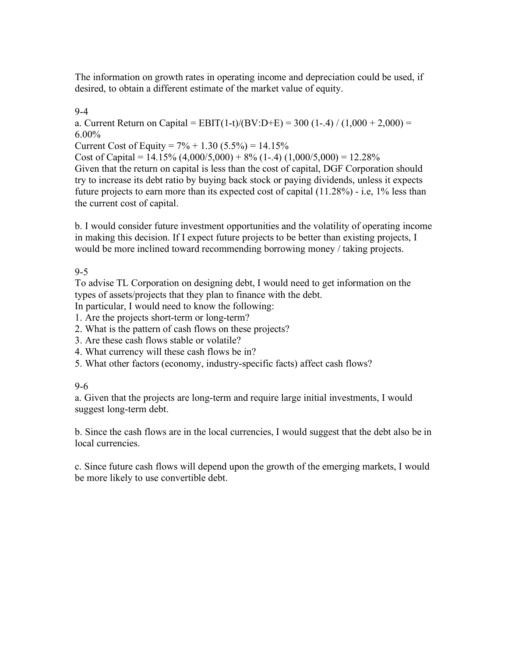The information on growth rates in operating income and depreciation could be used, if desired, to obtain a different estimate of the market value of equity.

9-4

a. Current Return on Capital = EBIT(1-t)/(BV:D+E) = 300 (1-.4) / (1,000 + 2,000) = 6.00%

Current Cost of Equity =  $7\% + 1.30$  (5.5%) = 14.15%

Cost of Capital =  $14.15\%$  (4,000/5,000) + 8% (1-.4) (1,000/5,000) = 12.28% Given that the return on capital is less than the cost of capital, DGF Corporation should try to increase its debt ratio by buying back stock or paying dividends, unless it expects future projects to earn more than its expected cost of capital (11.28%) - i.e, 1% less than the current cost of capital.

b. I would consider future investment opportunities and the volatility of operating income in making this decision. If I expect future projects to be better than existing projects, I would be more inclined toward recommending borrowing money / taking projects.

9-5

To advise TL Corporation on designing debt, I would need to get information on the types of assets/projects that they plan to finance with the debt.

In particular, I would need to know the following:

- 1. Are the projects short-term or long-term?
- 2. What is the pattern of cash flows on these projects?
- 3. Are these cash flows stable or volatile?
- 4. What currency will these cash flows be in?
- 5. What other factors (economy, industry-specific facts) affect cash flows?

# 9-6

a. Given that the projects are long-term and require large initial investments, I would suggest long-term debt.

b. Since the cash flows are in the local currencies, I would suggest that the debt also be in local currencies.

c. Since future cash flows will depend upon the growth of the emerging markets, I would be more likely to use convertible debt.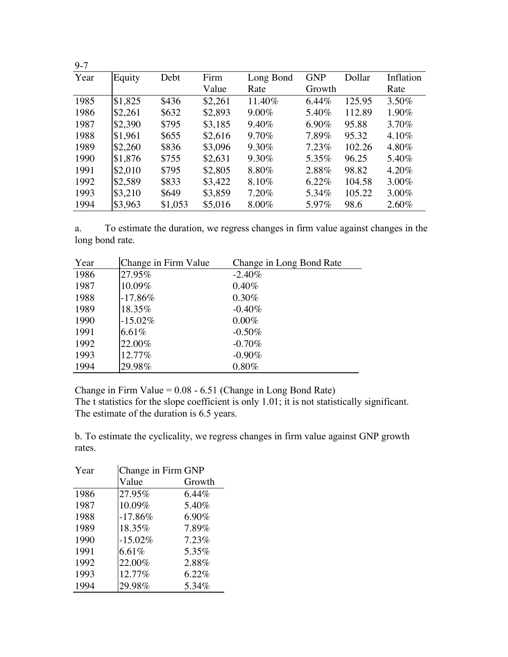| $9 - 7$ |         |         |         |           |            |        |           |
|---------|---------|---------|---------|-----------|------------|--------|-----------|
| Year    | Equity  | Debt    | Firm    | Long Bond | <b>GNP</b> | Dollar | Inflation |
|         |         |         | Value   | Rate      | Growth     |        | Rate      |
| 1985    | \$1,825 | \$436   | \$2,261 | 11.40%    | 6.44%      | 125.95 | 3.50%     |
| 1986    | \$2,261 | \$632   | \$2,893 | $9.00\%$  | 5.40%      | 112.89 | $1.90\%$  |
| 1987    | \$2,390 | \$795   | \$3,185 | $9.40\%$  | 6.90%      | 95.88  | 3.70%     |
| 1988    | \$1,961 | \$655   | \$2,616 | 9.70%     | 7.89%      | 95.32  | $4.10\%$  |
| 1989    | \$2,260 | \$836   | \$3,096 | $9.30\%$  | 7.23%      | 102.26 | 4.80%     |
| 1990    | \$1,876 | \$755   | \$2,631 | 9.30%     | 5.35%      | 96.25  | 5.40%     |
| 1991    | \$2,010 | \$795   | \$2,805 | 8.80%     | 2.88%      | 98.82  | $4.20\%$  |
| 1992    | \$2,589 | \$833   | \$3,422 | 8.10%     | $6.22\%$   | 104.58 | $3.00\%$  |
| 1993    | \$3,210 | \$649   | \$3,859 | 7.20%     | 5.34%      | 105.22 | 3.00%     |
| 1994    | \$3,963 | \$1,053 | \$5,016 | $8.00\%$  | 5.97%      | 98.6   | $2.60\%$  |

a. To estimate the duration, we regress changes in firm value against changes in the long bond rate.

| Year | Change in Firm Value | Change in Long Bond Rate |
|------|----------------------|--------------------------|
| 1986 | 27.95%               | $-2.40\%$                |
| 1987 | 10.09%               | $0.40\%$                 |
| 1988 | $-17.86%$            | $0.30\%$                 |
| 1989 | 18.35%               | $-0.40\%$                |
| 1990 | $-15.02\%$           | $0.00\%$                 |
| 1991 | $6.61\%$             | $-0.50\%$                |
| 1992 | 22.00%               | $-0.70\%$                |
| 1993 | 12.77%               | $-0.90\%$                |
| 1994 | 29.98%               | $0.80\%$                 |

Change in Firm Value = 0.08 - 6.51 (Change in Long Bond Rate)

The t statistics for the slope coefficient is only 1.01; it is not statistically significant. The estimate of the duration is 6.5 years.

b. To estimate the cyclicality, we regress changes in firm value against GNP growth rates.

| Year | Change in Firm GNP |          |  |  |  |
|------|--------------------|----------|--|--|--|
|      | Value              | Growth   |  |  |  |
| 1986 | 27.95%             | $6.44\%$ |  |  |  |
| 1987 | 10.09%             | 5.40%    |  |  |  |
| 1988 | $-17.86%$          | 6.90%    |  |  |  |
| 1989 | 18.35%             | 7.89%    |  |  |  |
| 1990 | $-15.02%$          | 7.23%    |  |  |  |
| 1991 | 6.61%              | 5.35%    |  |  |  |
| 1992 | 22.00%             | 2.88%    |  |  |  |
| 1993 | 12.77%             | 6.22%    |  |  |  |
| 1994 | 29.98%             | 5.34%    |  |  |  |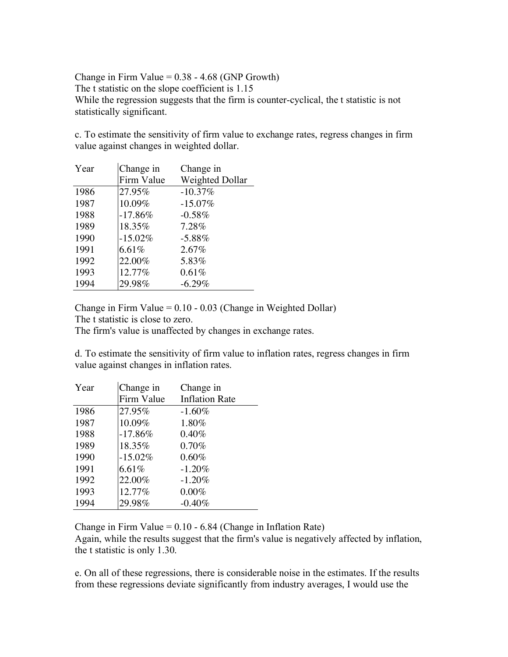Change in Firm Value =  $0.38 - 4.68$  (GNP Growth) The t statistic on the slope coefficient is 1.15 While the regression suggests that the firm is counter-cyclical, the t statistic is not statistically significant.

c. To estimate the sensitivity of firm value to exchange rates, regress changes in firm value against changes in weighted dollar.

| Year | Change in  | Change in       |
|------|------------|-----------------|
|      | Firm Value | Weighted Dollar |
| 1986 | 27.95%     | $-10.37%$       |
| 1987 | 10.09%     | $-15.07\%$      |
| 1988 | $-17.86%$  | $-0.58\%$       |
| 1989 | 18.35%     | 7.28%           |
| 1990 | $-15.02%$  | $-5.88\%$       |
| 1991 | 6.61%      | 2.67%           |
| 1992 | 22.00%     | 5.83%           |
| 1993 | 12.77%     | 0.61%           |
| 1994 | 29.98%     | $-6.29\%$       |

Change in Firm Value =  $0.10 - 0.03$  (Change in Weighted Dollar)

The t statistic is close to zero.

The firm's value is unaffected by changes in exchange rates.

d. To estimate the sensitivity of firm value to inflation rates, regress changes in firm value against changes in inflation rates.

| Year | Change in  | Change in             |
|------|------------|-----------------------|
|      | Firm Value | <b>Inflation Rate</b> |
| 1986 | 27.95%     | $-1.60%$              |
| 1987 | 10.09%     | 1.80%                 |
| 1988 | $-17.86%$  | 0.40%                 |
| 1989 | 18.35%     | 0.70%                 |
| 1990 | $-15.02\%$ | 0.60%                 |
| 1991 | 6.61%      | $-1.20%$              |
| 1992 | 22.00%     | $-1.20%$              |
| 1993 | 12.77%     | $0.00\%$              |
| 1994 | 29.98%     | $-0.40%$              |

Change in Firm Value  $= 0.10 - 6.84$  (Change in Inflation Rate)

Again, while the results suggest that the firm's value is negatively affected by inflation, the t statistic is only 1.30.

e. On all of these regressions, there is considerable noise in the estimates. If the results from these regressions deviate significantly from industry averages, I would use the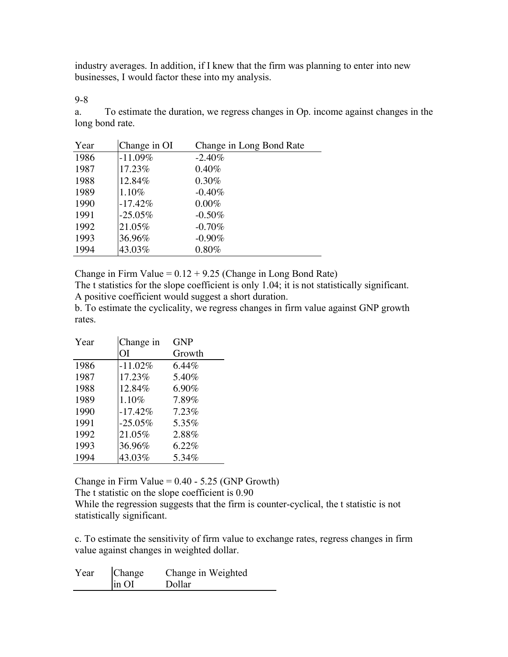industry averages. In addition, if I knew that the firm was planning to enter into new businesses, I would factor these into my analysis.

9-8

a. To estimate the duration, we regress changes in Op. income against changes in the long bond rate.

| Year | Change in OI | Change in Long Bond Rate |
|------|--------------|--------------------------|
| 1986 | $-11.09%$    | $-2.40\%$                |
| 1987 | 17.23%       | $0.40\%$                 |
| 1988 | 12.84%       | $0.30\%$                 |
| 1989 | 1.10%        | $-0.40\%$                |
| 1990 | $-17.42%$    | $0.00\%$                 |
| 1991 | $-25.05\%$   | $-0.50\%$                |
| 1992 | 21.05%       | $-0.70\%$                |
| 1993 | 36.96%       | $-0.90\%$                |
| 1994 | 43.03%       | $0.80\%$                 |

Change in Firm Value =  $0.12 + 9.25$  (Change in Long Bond Rate)

The t statistics for the slope coefficient is only 1.04; it is not statistically significant. A positive coefficient would suggest a short duration.

b. To estimate the cyclicality, we regress changes in firm value against GNP growth rates.

| Year | Change in | <b>GNP</b> |
|------|-----------|------------|
|      | ΟI        | Growth     |
| 1986 | $-11.02%$ | $6.44\%$   |
| 1987 | 17.23%    | 5.40%      |
| 1988 | 12.84%    | 6.90%      |
| 1989 | 1.10%     | 7.89%      |
| 1990 | $-17.42%$ | 7.23%      |
| 1991 | $-25.05%$ | 5.35%      |
| 1992 | 21.05%    | 2.88%      |
| 1993 | 36.96%    | 6.22%      |
| 1994 | 43.03%    | 5.34%      |

Change in Firm Value  $= 0.40 - 5.25$  (GNP Growth) The t statistic on the slope coefficient is 0.90

While the regression suggests that the firm is counter-cyclical, the t statistic is not statistically significant.

c. To estimate the sensitivity of firm value to exchange rates, regress changes in firm value against changes in weighted dollar.

| Year | Change | Change in Weighted |
|------|--------|--------------------|
|      | in OI  | Dollar             |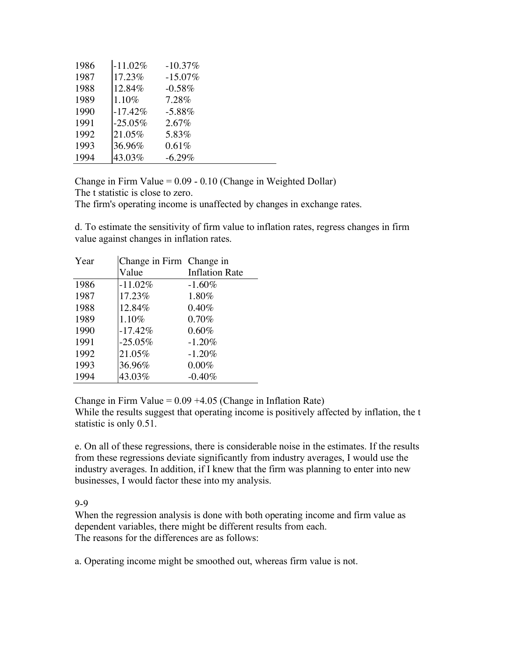| 1986 | $-11.02%$  | $-10.37%$  |
|------|------------|------------|
| 1987 | 17.23%     | $-15.07\%$ |
| 1988 | 12.84%     | $-0.58%$   |
| 1989 | 1.10%      | 7.28%      |
| 1990 | $-17.42%$  | $-5.88%$   |
| 1991 | $-25.05\%$ | 2.67%      |
| 1992 | 21.05%     | 5.83%      |
| 1993 | 36.96%     | 0.61%      |
| 1994 | 43.03%     | $-6.29%$   |

Change in Firm Value = 0.09 - 0.10 (Change in Weighted Dollar)

The t statistic is close to zero.

The firm's operating income is unaffected by changes in exchange rates.

d. To estimate the sensitivity of firm value to inflation rates, regress changes in firm value against changes in inflation rates.

| Year | Change in Firm Change in |                       |
|------|--------------------------|-----------------------|
|      | Value                    | <b>Inflation Rate</b> |
| 1986 | $-11.02\%$               | $-1.60\%$             |
| 1987 | 17.23%                   | 1.80%                 |
| 1988 | 12.84%                   | $0.40\%$              |
| 1989 | 1.10%                    | 0.70%                 |
| 1990 | $-17.42%$                | 0.60%                 |
| 1991 | $-25.05%$                | $-1.20%$              |
| 1992 | 21.05%                   | $-1.20%$              |
| 1993 | 36.96%                   | $0.00\%$              |
| 1994 | 43.03%                   | $-0.40%$              |

Change in Firm Value =  $0.09 + 4.05$  (Change in Inflation Rate)

While the results suggest that operating income is positively affected by inflation, the t statistic is only 0.51.

e. On all of these regressions, there is considerable noise in the estimates. If the results from these regressions deviate significantly from industry averages, I would use the industry averages. In addition, if I knew that the firm was planning to enter into new businesses, I would factor these into my analysis.

#### 9-9

When the regression analysis is done with both operating income and firm value as dependent variables, there might be different results from each. The reasons for the differences are as follows:

a. Operating income might be smoothed out, whereas firm value is not.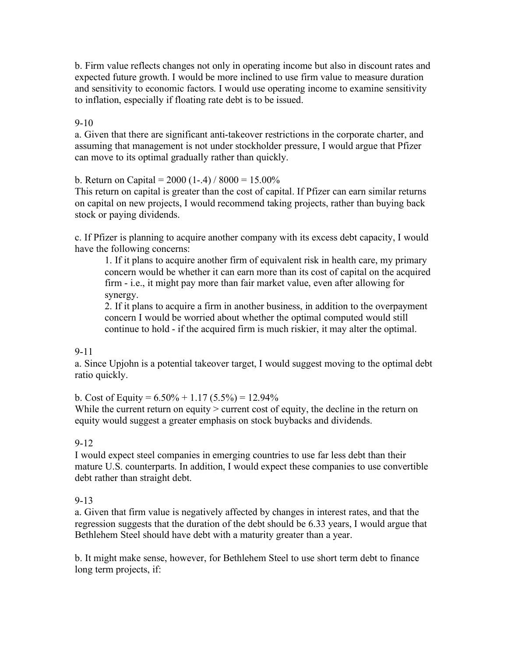b. Firm value reflects changes not only in operating income but also in discount rates and expected future growth. I would be more inclined to use firm value to measure duration and sensitivity to economic factors. I would use operating income to examine sensitivity to inflation, especially if floating rate debt is to be issued.

9-10

a. Given that there are significant anti-takeover restrictions in the corporate charter, and assuming that management is not under stockholder pressure, I would argue that Pfizer can move to its optimal gradually rather than quickly.

b. Return on Capital =  $2000$  (1-.4) /  $8000 = 15.00\%$ 

This return on capital is greater than the cost of capital. If Pfizer can earn similar returns on capital on new projects, I would recommend taking projects, rather than buying back stock or paying dividends.

c. If Pfizer is planning to acquire another company with its excess debt capacity, I would have the following concerns:

1. If it plans to acquire another firm of equivalent risk in health care, my primary concern would be whether it can earn more than its cost of capital on the acquired firm - i.e., it might pay more than fair market value, even after allowing for synergy.

2. If it plans to acquire a firm in another business, in addition to the overpayment concern I would be worried about whether the optimal computed would still continue to hold - if the acquired firm is much riskier, it may alter the optimal.

#### 9-11

a. Since Upjohn is a potential takeover target, I would suggest moving to the optimal debt ratio quickly.

b. Cost of Equity =  $6.50\% + 1.17(5.5\%) = 12.94\%$ 

While the current return on equity  $>$  current cost of equity, the decline in the return on equity would suggest a greater emphasis on stock buybacks and dividends.

#### 9-12

I would expect steel companies in emerging countries to use far less debt than their mature U.S. counterparts. In addition, I would expect these companies to use convertible debt rather than straight debt.

# 9-13

a. Given that firm value is negatively affected by changes in interest rates, and that the regression suggests that the duration of the debt should be 6.33 years, I would argue that Bethlehem Steel should have debt with a maturity greater than a year.

b. It might make sense, however, for Bethlehem Steel to use short term debt to finance long term projects, if: